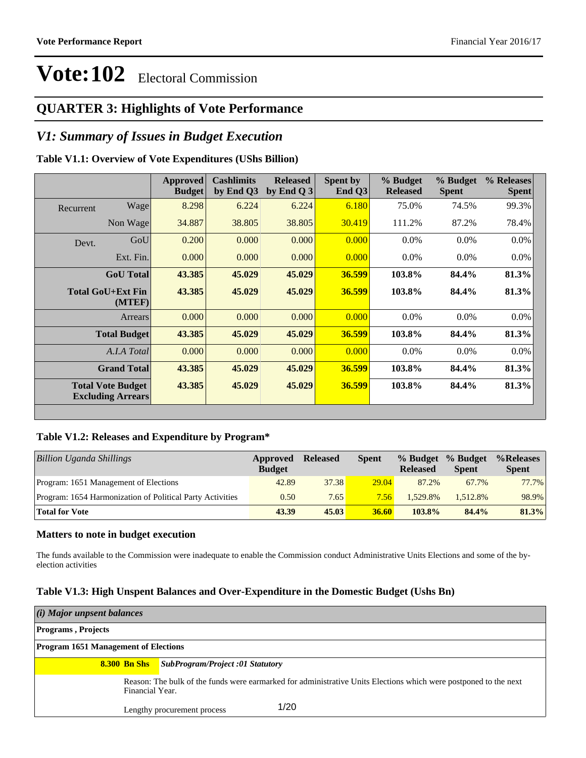### **QUARTER 3: Highlights of Vote Performance**

### *V1: Summary of Issues in Budget Execution*

#### **Table V1.1: Overview of Vote Expenditures (UShs Billion)**

|           |                                                      | Approved<br><b>Budget</b> | <b>Cashlimits</b><br>by End Q3 | <b>Released</b><br>by End Q $3$ | Spent by<br>End $O3$ | % Budget<br><b>Released</b> | % Budget<br><b>Spent</b> | % Releases<br><b>Spent</b> |
|-----------|------------------------------------------------------|---------------------------|--------------------------------|---------------------------------|----------------------|-----------------------------|--------------------------|----------------------------|
| Recurrent | Wage                                                 | 8.298                     | 6.224                          | 6.224                           | 6.180                | 75.0%                       | 74.5%                    | 99.3%                      |
|           | Non Wage                                             | 34.887                    | 38.805                         | 38.805                          | 30.419               | 111.2%                      | 87.2%                    | 78.4%                      |
| Devt.     | GoU                                                  | 0.200                     | 0.000                          | 0.000                           | 0.000                | $0.0\%$                     | $0.0\%$                  | 0.0%                       |
|           | Ext. Fin.                                            | 0.000                     | 0.000                          | 0.000                           | 0.000                | $0.0\%$                     | $0.0\%$                  | $0.0\%$                    |
|           | <b>GoU</b> Total                                     | 43.385                    | 45.029                         | 45.029                          | 36.599               | 103.8%                      | 84.4%                    | 81.3%                      |
|           | <b>Total GoU+Ext Fin</b><br>(MTEF)                   | 43.385                    | 45.029                         | 45.029                          | 36.599               | 103.8%                      | 84.4%                    | 81.3%                      |
|           | Arrears                                              | 0.000                     | 0.000                          | 0.000                           | 0.000                | $0.0\%$                     | $0.0\%$                  | 0.0%                       |
|           | <b>Total Budget</b>                                  | 43.385                    | 45.029                         | 45.029                          | 36.599               | 103.8%                      | 84.4%                    | 81.3%                      |
|           | A.I.A Total                                          | 0.000                     | 0.000                          | 0.000                           | 0.000                | $0.0\%$                     | $0.0\%$                  | $0.0\%$                    |
|           | <b>Grand Total</b>                                   | 43.385                    | 45.029                         | 45.029                          | 36.599               | 103.8%                      | 84.4%                    | 81.3%                      |
|           | <b>Total Vote Budget</b><br><b>Excluding Arrears</b> | 43.385                    | 45.029                         | 45.029                          | 36.599               | 103.8%                      | 84.4%                    | 81.3%                      |

#### **Table V1.2: Releases and Expenditure by Program\***

| Billion Uganda Shillings                                  | Approved<br><b>Budget</b> | <b>Released</b> | <b>Spent</b> | % Budget<br><b>Released</b> | % Budget<br><b>Spent</b> | %Releases<br><b>Spent</b> |
|-----------------------------------------------------------|---------------------------|-----------------|--------------|-----------------------------|--------------------------|---------------------------|
| Program: 1651 Management of Elections                     | 42.89                     | 37.38           | 29.04        | 87.2%                       | 67.7%                    | 77.7%                     |
| Program: 1654 Harmonization of Political Party Activities | 0.50                      | 7.65            | 7.56         | 1.529.8%                    | 1.512.8%                 | 98.9%                     |
| <b>Total for Vote</b>                                     | 43.39                     | 45.03           | 36.60        | $103.8\%$                   | 84.4%                    | 81.3%                     |

#### **Matters to note in budget execution**

The funds available to the Commission were inadequate to enable the Commission conduct Administrative Units Elections and some of the byelection activities

#### **Table V1.3: High Unspent Balances and Over-Expenditure in the Domestic Budget (Ushs Bn)**

| (i) Major unpsent balances                  |                                                                                                                  |
|---------------------------------------------|------------------------------------------------------------------------------------------------------------------|
| <b>Programs</b> , Projects                  |                                                                                                                  |
| <b>Program 1651 Management of Elections</b> |                                                                                                                  |
| <b>8.300 Bn Shs</b>                         | SubProgram/Project:01 Statutory                                                                                  |
| Financial Year.                             | Reason: The bulk of the funds were earmarked for administrative Units Elections which were postponed to the next |
|                                             | 1/20<br>Lengthy procurement process                                                                              |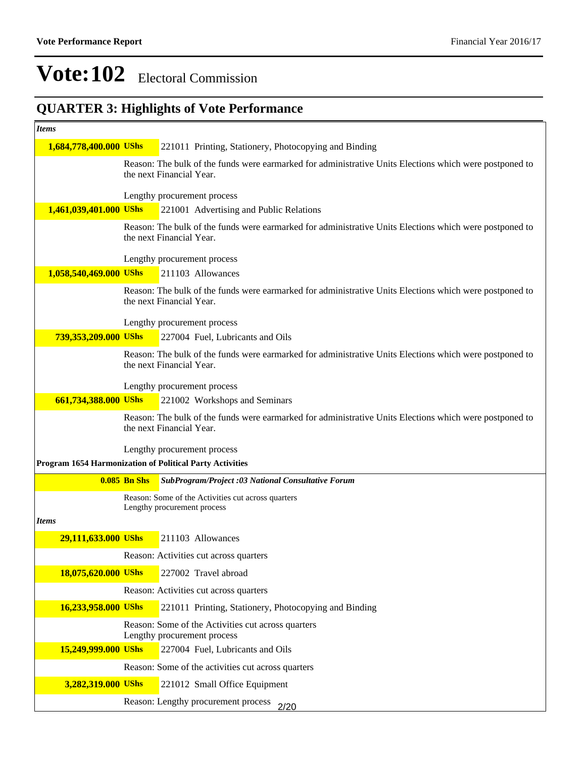### **QUARTER 3: Highlights of Vote Performance**

| <b>Items</b>           |                     |                                                                                                                                     |
|------------------------|---------------------|-------------------------------------------------------------------------------------------------------------------------------------|
| 1,684,778,400.000 UShs |                     | 221011 Printing, Stationery, Photocopying and Binding                                                                               |
|                        |                     | Reason: The bulk of the funds were earmarked for administrative Units Elections which were postponed to<br>the next Financial Year. |
|                        |                     | Lengthy procurement process                                                                                                         |
| 1,461,039,401.000 UShs |                     | 221001 Advertising and Public Relations                                                                                             |
|                        |                     | Reason: The bulk of the funds were earmarked for administrative Units Elections which were postponed to<br>the next Financial Year. |
|                        |                     | Lengthy procurement process                                                                                                         |
| 1,058,540,469.000 UShs |                     | 211103 Allowances                                                                                                                   |
|                        |                     | Reason: The bulk of the funds were earmarked for administrative Units Elections which were postponed to<br>the next Financial Year. |
|                        |                     | Lengthy procurement process                                                                                                         |
| 739,353,209.000 UShs   |                     | 227004 Fuel, Lubricants and Oils                                                                                                    |
|                        |                     | Reason: The bulk of the funds were earmarked for administrative Units Elections which were postponed to<br>the next Financial Year. |
|                        |                     | Lengthy procurement process                                                                                                         |
| 661,734,388.000 UShs   |                     | 221002 Workshops and Seminars                                                                                                       |
|                        |                     | Reason: The bulk of the funds were earmarked for administrative Units Elections which were postponed to<br>the next Financial Year. |
|                        |                     | Lengthy procurement process                                                                                                         |
|                        |                     | <b>Program 1654 Harmonization of Political Party Activities</b>                                                                     |
|                        | <b>0.085 Bn Shs</b> | SubProgram/Project :03 National Consultative Forum                                                                                  |
|                        |                     | Reason: Some of the Activities cut across quarters                                                                                  |
| <b>Items</b>           |                     | Lengthy procurement process                                                                                                         |
| 29,111,633.000 UShs    |                     | 211103 Allowances                                                                                                                   |
|                        |                     | Reason: Activities cut across quarters                                                                                              |
| 18,075,620.000 UShs    |                     | 227002 Travel abroad                                                                                                                |
|                        |                     | Reason: Activities cut across quarters                                                                                              |
| 16,233,958.000 UShs    |                     | 221011 Printing, Stationery, Photocopying and Binding                                                                               |
|                        |                     | Reason: Some of the Activities cut across quarters                                                                                  |
|                        |                     | Lengthy procurement process                                                                                                         |
| 15,249,999.000 UShs    |                     | 227004 Fuel, Lubricants and Oils                                                                                                    |
|                        |                     | Reason: Some of the activities cut across quarters                                                                                  |
| 3,282,319.000 UShs     |                     | 221012 Small Office Equipment                                                                                                       |
|                        |                     | Reason: Lengthy procurement process<br>2/20                                                                                         |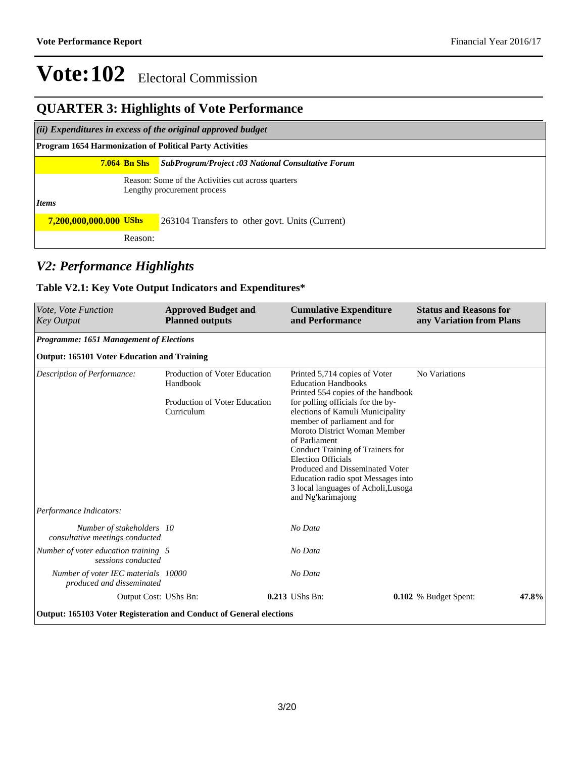#### **QUARTER 3: Highlights of Vote Performance**

*(ii) Expenditures in excess of the original approved budget*

**Program 1654 Harmonization of Political Party Activities**

#### **7.064 Bn Shs** *SubProgram/Project :03 National Consultative Forum*

Reason: Some of the Activities cut across quarters Lengthy procurement process

*Items*

| 7,200,000,000.000 UShs |         | 263104 Transfers to other govt. Units (Current) |
|------------------------|---------|-------------------------------------------------|
|                        | Reason: |                                                 |

### *V2: Performance Highlights*

#### **Table V2.1: Key Vote Output Indicators and Expenditures\***

| Vote, Vote Function<br><b>Key Output</b>                                   | <b>Approved Budget and</b><br><b>Planned outputs</b>                                     | <b>Cumulative Expenditure</b><br>and Performance                                                                                                                                                                                                                                                                                                                                                                                                                  | <b>Status and Reasons for</b><br>any Variation from Plans |       |  |  |  |  |  |  |  |
|----------------------------------------------------------------------------|------------------------------------------------------------------------------------------|-------------------------------------------------------------------------------------------------------------------------------------------------------------------------------------------------------------------------------------------------------------------------------------------------------------------------------------------------------------------------------------------------------------------------------------------------------------------|-----------------------------------------------------------|-------|--|--|--|--|--|--|--|
|                                                                            | Programme: 1651 Management of Elections                                                  |                                                                                                                                                                                                                                                                                                                                                                                                                                                                   |                                                           |       |  |  |  |  |  |  |  |
| <b>Output: 165101 Voter Education and Training</b>                         |                                                                                          |                                                                                                                                                                                                                                                                                                                                                                                                                                                                   |                                                           |       |  |  |  |  |  |  |  |
| Description of Performance:                                                | Production of Voter Education<br>Handbook<br>Production of Voter Education<br>Curriculum | Printed 5,714 copies of Voter<br><b>Education Handbooks</b><br>Printed 554 copies of the handbook<br>for polling officials for the by-<br>elections of Kamuli Municipality<br>member of parliament and for<br>Moroto District Woman Member<br>of Parliament<br>Conduct Training of Trainers for<br><b>Election Officials</b><br>Produced and Disseminated Voter<br>Education radio spot Messages into<br>3 local languages of Acholi, Lusoga<br>and Ng'karimajong | No Variations                                             |       |  |  |  |  |  |  |  |
| Performance Indicators:                                                    |                                                                                          |                                                                                                                                                                                                                                                                                                                                                                                                                                                                   |                                                           |       |  |  |  |  |  |  |  |
| Number of stakeholders 10<br>consultative meetings conducted               |                                                                                          | No Data                                                                                                                                                                                                                                                                                                                                                                                                                                                           |                                                           |       |  |  |  |  |  |  |  |
| Number of voter education training 5<br>sessions conducted                 |                                                                                          | No Data                                                                                                                                                                                                                                                                                                                                                                                                                                                           |                                                           |       |  |  |  |  |  |  |  |
| Number of voter IEC materials 10000<br>produced and disseminated           |                                                                                          | No Data                                                                                                                                                                                                                                                                                                                                                                                                                                                           |                                                           |       |  |  |  |  |  |  |  |
| Output Cost: UShs Bn:                                                      |                                                                                          | $0.213$ UShs Bn:                                                                                                                                                                                                                                                                                                                                                                                                                                                  | 0.102 % Budget Spent:                                     | 47.8% |  |  |  |  |  |  |  |
| <b>Output: 165103 Voter Registeration and Conduct of General elections</b> |                                                                                          |                                                                                                                                                                                                                                                                                                                                                                                                                                                                   |                                                           |       |  |  |  |  |  |  |  |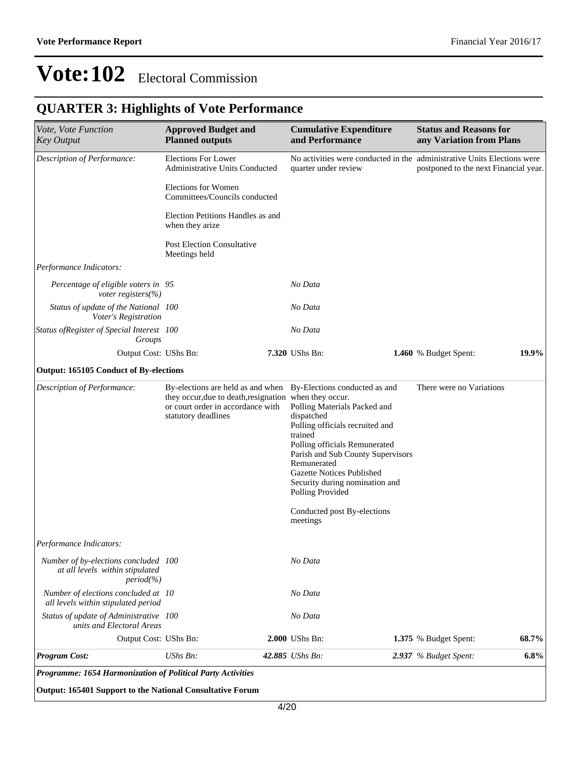### **QUARTER 3: Highlights of Vote Performance**

| Vote, Vote Function<br><b>Key Output</b>                                            | <b>Approved Budget and</b><br><b>Planned outputs</b>                                                                                                                                  | <b>Cumulative Expenditure</b><br>and Performance                                                                                                                                                                                                                                                       | <b>Status and Reasons for</b><br>any Variation from Plans                                                        |
|-------------------------------------------------------------------------------------|---------------------------------------------------------------------------------------------------------------------------------------------------------------------------------------|--------------------------------------------------------------------------------------------------------------------------------------------------------------------------------------------------------------------------------------------------------------------------------------------------------|------------------------------------------------------------------------------------------------------------------|
| Description of Performance:                                                         | <b>Elections For Lower</b><br>Administrative Units Conducted                                                                                                                          | quarter under review                                                                                                                                                                                                                                                                                   | No activities were conducted in the administrative Units Elections were<br>postponed to the next Financial year. |
|                                                                                     | <b>Elections for Women</b><br>Committees/Councils conducted                                                                                                                           |                                                                                                                                                                                                                                                                                                        |                                                                                                                  |
|                                                                                     | Election Petitions Handles as and<br>when they arize                                                                                                                                  |                                                                                                                                                                                                                                                                                                        |                                                                                                                  |
|                                                                                     | <b>Post Election Consultative</b><br>Meetings held                                                                                                                                    |                                                                                                                                                                                                                                                                                                        |                                                                                                                  |
| Performance Indicators:                                                             |                                                                                                                                                                                       |                                                                                                                                                                                                                                                                                                        |                                                                                                                  |
| Percentage of eligible voters in 95<br>voter registers(%)                           |                                                                                                                                                                                       | No Data                                                                                                                                                                                                                                                                                                |                                                                                                                  |
| Status of update of the National 100<br>Voter's Registration                        |                                                                                                                                                                                       | No Data                                                                                                                                                                                                                                                                                                |                                                                                                                  |
| Status of Register of Special Interest 100<br>Groups                                |                                                                                                                                                                                       | No Data                                                                                                                                                                                                                                                                                                |                                                                                                                  |
| Output Cost: UShs Bn:                                                               |                                                                                                                                                                                       | 7.320 UShs Bn:                                                                                                                                                                                                                                                                                         | 19.9%<br>1.460 % Budget Spent:                                                                                   |
| <b>Output: 165105 Conduct of By-elections</b>                                       |                                                                                                                                                                                       |                                                                                                                                                                                                                                                                                                        |                                                                                                                  |
| Description of Performance:                                                         | By-elections are held as and when By-Elections conducted as and<br>they occur, due to death, resignation when they occur.<br>or court order in accordance with<br>statutory deadlines | Polling Materials Packed and<br>dispatched<br>Polling officials recruited and<br>trained<br>Polling officials Remunerated<br>Parish and Sub County Supervisors<br>Remunerated<br><b>Gazette Notices Published</b><br>Security during nomination and<br>Polling Provided<br>Conducted post By-elections | There were no Variations                                                                                         |
|                                                                                     |                                                                                                                                                                                       | meetings                                                                                                                                                                                                                                                                                               |                                                                                                                  |
| Performance Indicators:                                                             |                                                                                                                                                                                       |                                                                                                                                                                                                                                                                                                        |                                                                                                                  |
| Number of by-elections concluded 100<br>at all levels within stipulated<br>period(% |                                                                                                                                                                                       | No Data                                                                                                                                                                                                                                                                                                |                                                                                                                  |
| Number of elections concluded at 10<br>all levels within stipulated period          |                                                                                                                                                                                       | No Data                                                                                                                                                                                                                                                                                                |                                                                                                                  |
| Status of update of Administrative 100<br>units and Electoral Areas                 |                                                                                                                                                                                       | No Data                                                                                                                                                                                                                                                                                                |                                                                                                                  |
| Output Cost: UShs Bn:                                                               |                                                                                                                                                                                       | 2.000 UShs Bn:                                                                                                                                                                                                                                                                                         | 68.7%<br>1.375 % Budget Spent:                                                                                   |
| <b>Program Cost:</b>                                                                | UShs Bn:                                                                                                                                                                              | 42.885 UShs Bn:                                                                                                                                                                                                                                                                                        | 2.937 % Budget Spent:<br>6.8%                                                                                    |

*Programme: 1654 Harmonization of Political Party Activities*

**Output: 165401 Support to the National Consultative Forum**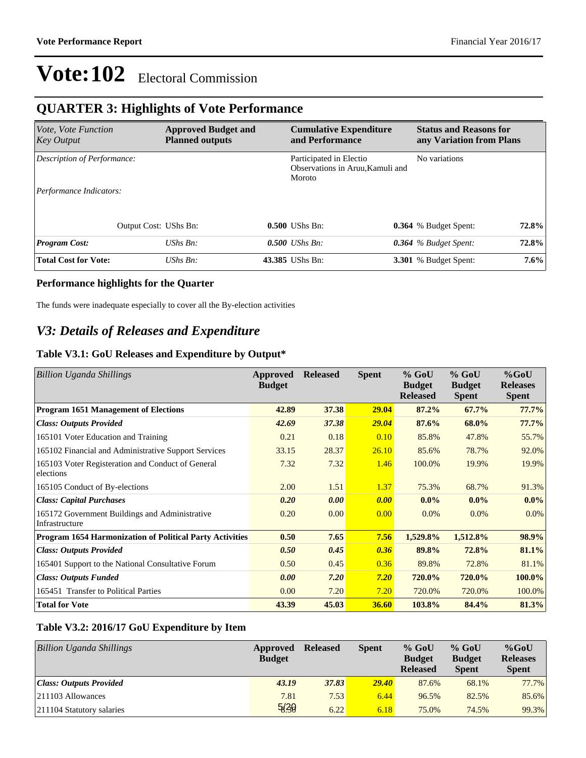### **QUARTER 3: Highlights of Vote Performance**

| <i>Vote, Vote Function</i><br><b>Key Output</b> |                       | <b>Approved Budget and</b><br><b>Planned outputs</b> | <b>Cumulative Expenditure</b><br>and Performance                      | <b>Status and Reasons for</b><br>any Variation from Plans |         |
|-------------------------------------------------|-----------------------|------------------------------------------------------|-----------------------------------------------------------------------|-----------------------------------------------------------|---------|
| Description of Performance:                     |                       |                                                      | Participated in Electio<br>Observations in Aruu, Kamuli and<br>Moroto | No variations                                             |         |
| Performance Indicators:                         |                       |                                                      |                                                                       |                                                           |         |
|                                                 | Output Cost: UShs Bn: |                                                      | $0.500$ UShs Bn:                                                      | 0.364 % Budget Spent:                                     | 72.8%   |
| <b>Program Cost:</b>                            |                       | $UShs Bn$ :                                          | $0.500$ UShs Bn:                                                      | $0.364$ % Budget Spent:                                   | 72.8%   |
| <b>Total Cost for Vote:</b>                     |                       | $UShs Bn$ :                                          | 43.385 UShs Bn:                                                       | <b>3.301</b> % Budget Spent:                              | $7.6\%$ |

#### **Performance highlights for the Quarter**

The funds were inadequate especially to cover all the By-election activities

### *V3: Details of Releases and Expenditure*

#### **Table V3.1: GoU Releases and Expenditure by Output\***

| <b>Billion Uganda Shillings</b>                                  | Approved<br><b>Budget</b> | <b>Released</b> | <b>Spent</b> | $%$ GoU<br><b>Budget</b><br><b>Released</b> | $%$ GoU<br><b>Budget</b><br><b>Spent</b> | $%$ GoU<br><b>Releases</b><br><b>Spent</b> |
|------------------------------------------------------------------|---------------------------|-----------------|--------------|---------------------------------------------|------------------------------------------|--------------------------------------------|
| <b>Program 1651 Management of Elections</b>                      | 42.89                     | 37.38           | 29.04        | 87.2%                                       | 67.7%                                    | 77.7%                                      |
| <b>Class: Outputs Provided</b>                                   | 42.69                     | 37.38           | <b>29.04</b> | 87.6%                                       | 68.0%                                    | 77.7%                                      |
| 165101 Voter Education and Training                              | 0.21                      | 0.18            | 0.10         | 85.8%                                       | 47.8%                                    | 55.7%                                      |
| 165102 Financial and Administrative Support Services             | 33.15                     | 28.37           | 26.10        | 85.6%                                       | 78.7%                                    | 92.0%                                      |
| 165103 Voter Registeration and Conduct of General<br>elections   | 7.32                      | 7.32            | 1.46         | 100.0%                                      | 19.9%                                    | 19.9%                                      |
| 165105 Conduct of By-elections                                   | 2.00                      | 1.51            | 1.37         | 75.3%                                       | 68.7%                                    | 91.3%                                      |
| <b>Class: Capital Purchases</b>                                  | 0.20                      | 0.00            | 0.00         | $0.0\%$                                     | $0.0\%$                                  | $0.0\%$                                    |
| 165172 Government Buildings and Administrative<br>Infrastructure | 0.20                      | 0.00            | 0.00         | 0.0%                                        | $0.0\%$                                  | $0.0\%$                                    |
| <b>Program 1654 Harmonization of Political Party Activities</b>  | 0.50                      | 7.65            | 7.56         | 1,529.8%                                    | 1,512.8%                                 | 98.9%                                      |
| <b>Class: Outputs Provided</b>                                   | 0.50                      | 0.45            | 0.36         | 89.8%                                       | 72.8%                                    | 81.1%                                      |
| 165401 Support to the National Consultative Forum                | 0.50                      | 0.45            | 0.36         | 89.8%                                       | 72.8%                                    | 81.1%                                      |
| <b>Class: Outputs Funded</b>                                     | 0.00                      | 7.20            | 7.20         | <b>720.0%</b>                               | 720.0%                                   | $100.0\%$                                  |
| 165451 Transfer to Political Parties                             | 0.00                      | 7.20            | 7.20         | 720.0%                                      | 720.0%                                   | 100.0%                                     |
| <b>Total for Vote</b>                                            | 43.39                     | 45.03           | <b>36.60</b> | 103.8%                                      | 84.4%                                    | 81.3%                                      |

#### **Table V3.2: 2016/17 GoU Expenditure by Item**

| <b>Billion Uganda Shillings</b> | Approved<br><b>Budget</b> | <b>Released</b> | <b>Spent</b> | $%$ GoU<br><b>Budget</b><br><b>Released</b> | $%$ GoU<br><b>Budget</b><br><b>Spent</b> | $%$ GoU<br><b>Releases</b><br><b>Spent</b> |
|---------------------------------|---------------------------|-----------------|--------------|---------------------------------------------|------------------------------------------|--------------------------------------------|
| Class: Outputs Provided         | 43.19                     | 37.83           | <b>29.40</b> | 87.6%                                       | 68.1%                                    | 77.7%                                      |
| $ 211103$ Allowances            | 7.81                      | 7.53            | 6.44         | 96.5%                                       | 82.5%                                    | 85.6%                                      |
| 211104 Statutory salaries       | 5/30                      | 6.22            | 6.18         | 75.0%                                       | 74.5%                                    | 99.3%                                      |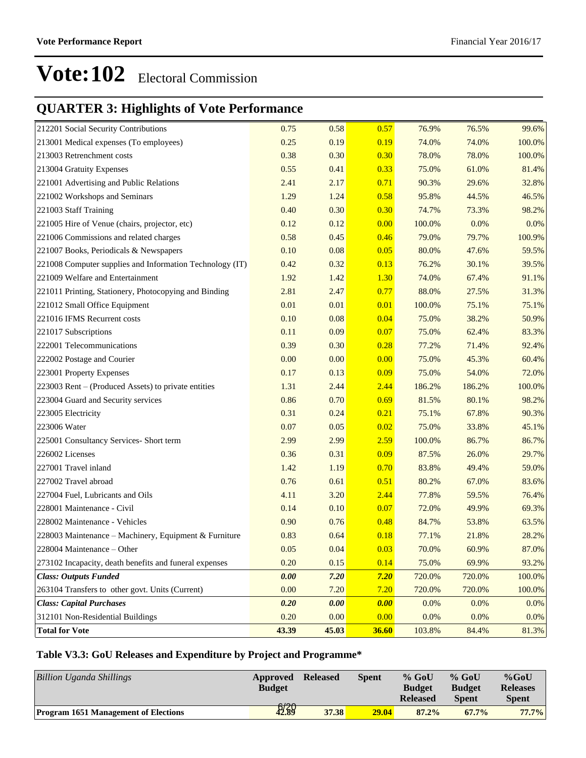### **QUARTER 3: Highlights of Vote Performance**

| 212201 Social Security Contributions                     | 0.75  | 0.58  | 0.57  | 76.9%  | 76.5%  | 99.6%  |
|----------------------------------------------------------|-------|-------|-------|--------|--------|--------|
| 213001 Medical expenses (To employees)                   | 0.25  | 0.19  | 0.19  | 74.0%  | 74.0%  | 100.0% |
| 213003 Retrenchment costs                                | 0.38  | 0.30  | 0.30  | 78.0%  | 78.0%  | 100.0% |
| 213004 Gratuity Expenses                                 | 0.55  | 0.41  | 0.33  | 75.0%  | 61.0%  | 81.4%  |
| 221001 Advertising and Public Relations                  | 2.41  | 2.17  | 0.71  | 90.3%  | 29.6%  | 32.8%  |
| 221002 Workshops and Seminars                            | 1.29  | 1.24  | 0.58  | 95.8%  | 44.5%  | 46.5%  |
| 221003 Staff Training                                    | 0.40  | 0.30  | 0.30  | 74.7%  | 73.3%  | 98.2%  |
| 221005 Hire of Venue (chairs, projector, etc)            | 0.12  | 0.12  | 0.00  | 100.0% | 0.0%   | 0.0%   |
| 221006 Commissions and related charges                   | 0.58  | 0.45  | 0.46  | 79.0%  | 79.7%  | 100.9% |
| 221007 Books, Periodicals & Newspapers                   | 0.10  | 0.08  | 0.05  | 80.0%  | 47.6%  | 59.5%  |
| 221008 Computer supplies and Information Technology (IT) | 0.42  | 0.32  | 0.13  | 76.2%  | 30.1%  | 39.5%  |
| 221009 Welfare and Entertainment                         | 1.92  | 1.42  | 1.30  | 74.0%  | 67.4%  | 91.1%  |
| 221011 Printing, Stationery, Photocopying and Binding    | 2.81  | 2.47  | 0.77  | 88.0%  | 27.5%  | 31.3%  |
| 221012 Small Office Equipment                            | 0.01  | 0.01  | 0.01  | 100.0% | 75.1%  | 75.1%  |
| 221016 IFMS Recurrent costs                              | 0.10  | 0.08  | 0.04  | 75.0%  | 38.2%  | 50.9%  |
| 221017 Subscriptions                                     | 0.11  | 0.09  | 0.07  | 75.0%  | 62.4%  | 83.3%  |
| 222001 Telecommunications                                | 0.39  | 0.30  | 0.28  | 77.2%  | 71.4%  | 92.4%  |
| 222002 Postage and Courier                               | 0.00  | 0.00  | 0.00  | 75.0%  | 45.3%  | 60.4%  |
| 223001 Property Expenses                                 | 0.17  | 0.13  | 0.09  | 75.0%  | 54.0%  | 72.0%  |
| 223003 Rent – (Produced Assets) to private entities      | 1.31  | 2.44  | 2.44  | 186.2% | 186.2% | 100.0% |
| 223004 Guard and Security services                       | 0.86  | 0.70  | 0.69  | 81.5%  | 80.1%  | 98.2%  |
| 223005 Electricity                                       | 0.31  | 0.24  | 0.21  | 75.1%  | 67.8%  | 90.3%  |
| 223006 Water                                             | 0.07  | 0.05  | 0.02  | 75.0%  | 33.8%  | 45.1%  |
| 225001 Consultancy Services- Short term                  | 2.99  | 2.99  | 2.59  | 100.0% | 86.7%  | 86.7%  |
| 226002 Licenses                                          | 0.36  | 0.31  | 0.09  | 87.5%  | 26.0%  | 29.7%  |
| 227001 Travel inland                                     | 1.42  | 1.19  | 0.70  | 83.8%  | 49.4%  | 59.0%  |
| 227002 Travel abroad                                     | 0.76  | 0.61  | 0.51  | 80.2%  | 67.0%  | 83.6%  |
| 227004 Fuel, Lubricants and Oils                         | 4.11  | 3.20  | 2.44  | 77.8%  | 59.5%  | 76.4%  |
| 228001 Maintenance - Civil                               | 0.14  | 0.10  | 0.07  | 72.0%  | 49.9%  | 69.3%  |
| 228002 Maintenance - Vehicles                            | 0.90  | 0.76  | 0.48  | 84.7%  | 53.8%  | 63.5%  |
| 228003 Maintenance – Machinery, Equipment & Furniture    | 0.83  | 0.64  | 0.18  | 77.1%  | 21.8%  | 28.2%  |
| 228004 Maintenance – Other                               | 0.05  | 0.04  | 0.03  | 70.0%  | 60.9%  | 87.0%  |
| 273102 Incapacity, death benefits and funeral expenses   | 0.20  | 0.15  | 0.14  | 75.0%  | 69.9%  | 93.2%  |
| <b>Class: Outputs Funded</b>                             | 0.00  | 7.20  | 7.20  | 720.0% | 720.0% | 100.0% |
| 263104 Transfers to other govt. Units (Current)          | 0.00  | 7.20  | 7.20  | 720.0% | 720.0% | 100.0% |
| <b>Class: Capital Purchases</b>                          | 0.20  | 0.00  | 0.00  | 0.0%   | 0.0%   | 0.0%   |
| 312101 Non-Residential Buildings                         | 0.20  | 0.00  | 0.00  | 0.0%   | 0.0%   | 0.0%   |
| <b>Total for Vote</b>                                    | 43.39 | 45.03 | 36.60 | 103.8% | 84.4%  | 81.3%  |

#### **Table V3.3: GoU Releases and Expenditure by Project and Programme\***

| <b>Billion Uganda Shillings</b>             | Approved<br><b>Budget</b> | <b>Released</b> | <b>Spent</b> | $%$ GoU<br><b>Budget</b> | $%$ GoU<br><b>Budget</b> | $%$ GoU<br><b>Releases</b> |
|---------------------------------------------|---------------------------|-----------------|--------------|--------------------------|--------------------------|----------------------------|
|                                             |                           |                 |              | <b>Released</b>          | <b>Spent</b>             | <b>Spent</b>               |
| <b>Program 1651 Management of Elections</b> | \$289                     | 37.38           | 29.04        | 87.2%                    | $67.7\%$                 | 77.7%                      |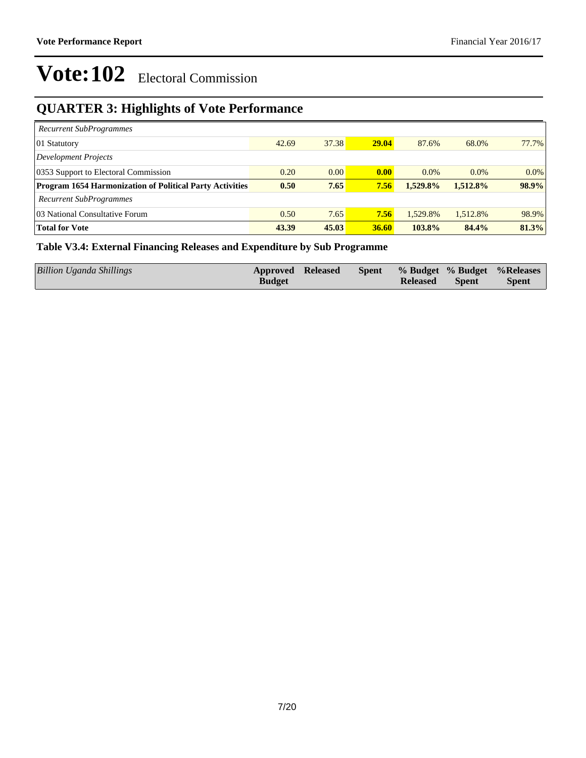### **QUARTER 3: Highlights of Vote Performance**

| <b>Recurrent SubProgrammes</b>                                  |       |       |       |          |          |         |
|-----------------------------------------------------------------|-------|-------|-------|----------|----------|---------|
| 01 Statutory                                                    | 42.69 | 37.38 | 29.04 | 87.6%    | 68.0%    | 77.7%   |
| Development Projects                                            |       |       |       |          |          |         |
| 0353 Support to Electoral Commission                            | 0.20  | 0.00  | 0.00  | $0.0\%$  | $0.0\%$  | $0.0\%$ |
| <b>Program 1654 Harmonization of Political Party Activities</b> | 0.50  | 7.65  | 7.56  | 1.529.8% | 1.512.8% | 98.9%   |
| <b>Recurrent SubProgrammes</b>                                  |       |       |       |          |          |         |
| 03 National Consultative Forum                                  | 0.50  | 7.65  | 7.56  | 1.529.8% | 1,512.8% | 98.9%   |
| <b>Total for Vote</b>                                           | 43.39 | 45.03 | 36.60 | 103.8%   | 84.4%    | 81.3%   |

#### **Table V3.4: External Financing Releases and Expenditure by Sub Programme**

| <b>Billion Uganda Shillings</b> | Approved Released | <b>Spent</b> |                 |              | % Budget % Budget % Releases |
|---------------------------------|-------------------|--------------|-----------------|--------------|------------------------------|
|                                 | <b>Budget</b>     |              | <b>Released</b> | <b>Spent</b> | <b>Spent</b>                 |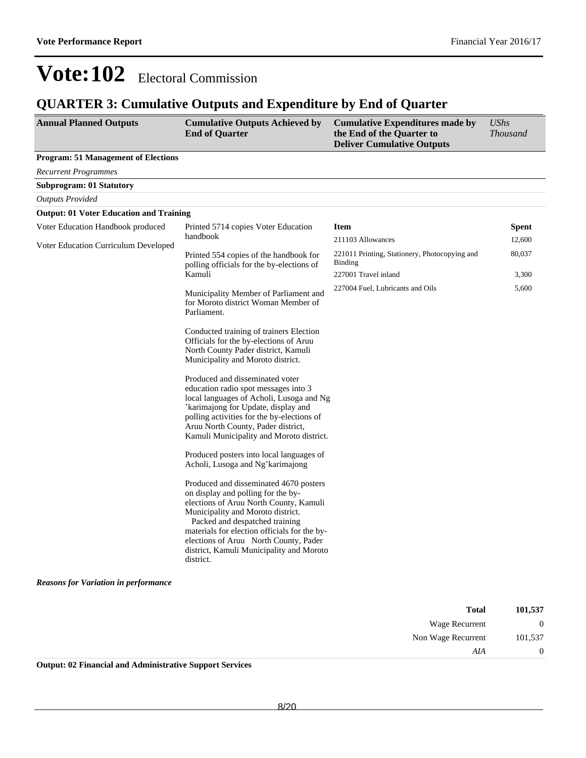### **QUARTER 3: Cumulative Outputs and Expenditure by End of Quarter**

| <b>Annual Planned Outputs</b>                  | <b>Cumulative Outputs Achieved by</b><br><b>End of Quarter</b>                                                                                                                                                                                                                                                                                  | <b>Cumulative Expenditures made by</b><br>the End of the Quarter to<br><b>Deliver Cumulative Outputs</b> | <b>UShs</b><br><b>Thousand</b> |
|------------------------------------------------|-------------------------------------------------------------------------------------------------------------------------------------------------------------------------------------------------------------------------------------------------------------------------------------------------------------------------------------------------|----------------------------------------------------------------------------------------------------------|--------------------------------|
| <b>Program: 51 Management of Elections</b>     |                                                                                                                                                                                                                                                                                                                                                 |                                                                                                          |                                |
| <b>Recurrent Programmes</b>                    |                                                                                                                                                                                                                                                                                                                                                 |                                                                                                          |                                |
| Subprogram: 01 Statutory                       |                                                                                                                                                                                                                                                                                                                                                 |                                                                                                          |                                |
| <b>Outputs Provided</b>                        |                                                                                                                                                                                                                                                                                                                                                 |                                                                                                          |                                |
| <b>Output: 01 Voter Education and Training</b> |                                                                                                                                                                                                                                                                                                                                                 |                                                                                                          |                                |
| Voter Education Handbook produced              | Printed 5714 copies Voter Education                                                                                                                                                                                                                                                                                                             | <b>Item</b>                                                                                              | <b>Spent</b>                   |
| Voter Education Curriculum Developed           | handbook                                                                                                                                                                                                                                                                                                                                        | 211103 Allowances                                                                                        | 12,600                         |
|                                                | Printed 554 copies of the handbook for<br>polling officials for the by-elections of                                                                                                                                                                                                                                                             | 221011 Printing, Stationery, Photocopying and<br><b>Binding</b>                                          | 80,037                         |
|                                                | Kamuli                                                                                                                                                                                                                                                                                                                                          | 227001 Travel inland                                                                                     | 3,300                          |
|                                                | Municipality Member of Parliament and<br>for Moroto district Woman Member of<br>Parliament.                                                                                                                                                                                                                                                     | 227004 Fuel, Lubricants and Oils                                                                         | 5,600                          |
|                                                | Conducted training of trainers Election<br>Officials for the by-elections of Aruu<br>North County Pader district, Kamuli<br>Municipality and Moroto district.                                                                                                                                                                                   |                                                                                                          |                                |
|                                                | Produced and disseminated voter<br>education radio spot messages into 3<br>local languages of Acholi, Lusoga and Ng<br>'karimajong for Update, display and<br>polling activities for the by-elections of<br>Aruu North County, Pader district,<br>Kamuli Municipality and Moroto district.                                                      |                                                                                                          |                                |
|                                                | Produced posters into local languages of<br>Acholi, Lusoga and Ng'karimajong                                                                                                                                                                                                                                                                    |                                                                                                          |                                |
|                                                | Produced and disseminated 4670 posters<br>on display and polling for the by-<br>elections of Aruu North County, Kamuli<br>Municipality and Moroto district.<br>Packed and despatched training<br>materials for election officials for the by-<br>elections of Aruu North County, Pader<br>district, Kamuli Municipality and Moroto<br>district. |                                                                                                          |                                |
| <b>Reasons for Variation in performance</b>    |                                                                                                                                                                                                                                                                                                                                                 |                                                                                                          |                                |

| <b>Total</b>       | 101,537 |
|--------------------|---------|
| Wage Recurrent     |         |
| Non Wage Recurrent | 101,537 |
| AIA                |         |

**Output: 02 Financial and Administrative Support Services**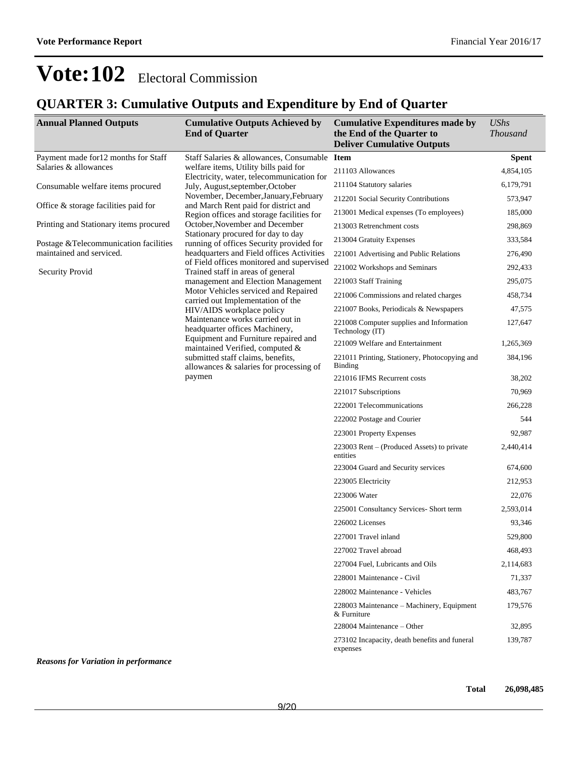### **QUARTER 3: Cumulative Outputs and Expenditure by End of Quarter**

| <b>Annual Planned Outputs</b>               | <b>Cumulative Outputs Achieved by</b><br><b>End of Quarter</b>                     | <b>Cumulative Expenditures made by</b><br>the End of the Quarter to<br><b>Deliver Cumulative Outputs</b> | <i>UShs</i><br><b>Thousand</b> |
|---------------------------------------------|------------------------------------------------------------------------------------|----------------------------------------------------------------------------------------------------------|--------------------------------|
| Payment made for 12 months for Staff        | Staff Salaries & allowances, Consumable Item                                       |                                                                                                          | <b>Spent</b>                   |
| Salaries & allowances                       | welfare items, Utility bills paid for<br>Electricity, water, telecommunication for | 211103 Allowances                                                                                        | 4,854,105                      |
| Consumable welfare items procured           | July, August, september, October                                                   | 211104 Statutory salaries                                                                                | 6,179,791                      |
|                                             | November, December, January, February                                              | 212201 Social Security Contributions                                                                     | 573,947                        |
| Office $&$ storage facilities paid for      | and March Rent paid for district and<br>Region offices and storage facilities for  | 213001 Medical expenses (To employees)                                                                   | 185,000                        |
| Printing and Stationary items procured      | October, November and December                                                     | 213003 Retrenchment costs                                                                                | 298,869                        |
| Postage & Telecommunication facilities      | Stationary procured for day to day<br>running of offices Security provided for     | 213004 Gratuity Expenses                                                                                 | 333,584                        |
| maintained and serviced.                    | headquarters and Field offices Activities                                          | 221001 Advertising and Public Relations                                                                  | 276,490                        |
| Security Provid                             | of Field offices monitored and supervised<br>Trained staff in areas of general     | 221002 Workshops and Seminars                                                                            | 292,433                        |
|                                             | management and Election Management                                                 | 221003 Staff Training                                                                                    | 295,075                        |
|                                             | Motor Vehicles serviced and Repaired                                               | 221006 Commissions and related charges                                                                   | 458,734                        |
|                                             | carried out Implementation of the<br>HIV/AIDS workplace policy                     | 221007 Books, Periodicals & Newspapers                                                                   | 47,575                         |
|                                             | Maintenance works carried out in<br>headquarter offices Machinery,                 | 221008 Computer supplies and Information<br>Technology (IT)                                              | 127,647                        |
|                                             | Equipment and Furniture repaired and<br>maintained Verified, computed &            | 221009 Welfare and Entertainment                                                                         | 1,265,369                      |
|                                             | submitted staff claims, benefits,<br>allowances $\&$ salaries for processing of    | 221011 Printing, Stationery, Photocopying and<br><b>Binding</b>                                          | 384,196                        |
|                                             | paymen                                                                             | 221016 IFMS Recurrent costs                                                                              | 38,202                         |
|                                             |                                                                                    | 221017 Subscriptions                                                                                     | 70,969                         |
|                                             |                                                                                    | 222001 Telecommunications                                                                                | 266,228                        |
|                                             |                                                                                    | 222002 Postage and Courier                                                                               | 544                            |
|                                             |                                                                                    | 223001 Property Expenses                                                                                 | 92,987                         |
|                                             |                                                                                    | $223003$ Rent – (Produced Assets) to private<br>entities                                                 | 2,440,414                      |
|                                             |                                                                                    | 223004 Guard and Security services                                                                       | 674,600                        |
|                                             |                                                                                    | 223005 Electricity                                                                                       | 212,953                        |
|                                             |                                                                                    | 223006 Water                                                                                             | 22,076                         |
|                                             |                                                                                    | 225001 Consultancy Services- Short term                                                                  | 2,593,014                      |
|                                             |                                                                                    | 226002 Licenses                                                                                          | 93,346                         |
|                                             |                                                                                    | 227001 Travel inland                                                                                     | 529,800                        |
|                                             |                                                                                    | 227002 Travel abroad                                                                                     | 468.493                        |
|                                             |                                                                                    | 227004 Fuel, Lubricants and Oils                                                                         | 2,114,683                      |
|                                             |                                                                                    | 228001 Maintenance - Civil                                                                               | 71,337                         |
|                                             |                                                                                    | 228002 Maintenance - Vehicles                                                                            | 483,767                        |
|                                             |                                                                                    | 228003 Maintenance – Machinery, Equipment<br>& Furniture                                                 | 179,576                        |
|                                             |                                                                                    | 228004 Maintenance – Other                                                                               | 32,895                         |
|                                             |                                                                                    | 273102 Incapacity, death benefits and funeral<br>expenses                                                | 139,787                        |
| <b>Reasons for Variation in performance</b> |                                                                                    |                                                                                                          |                                |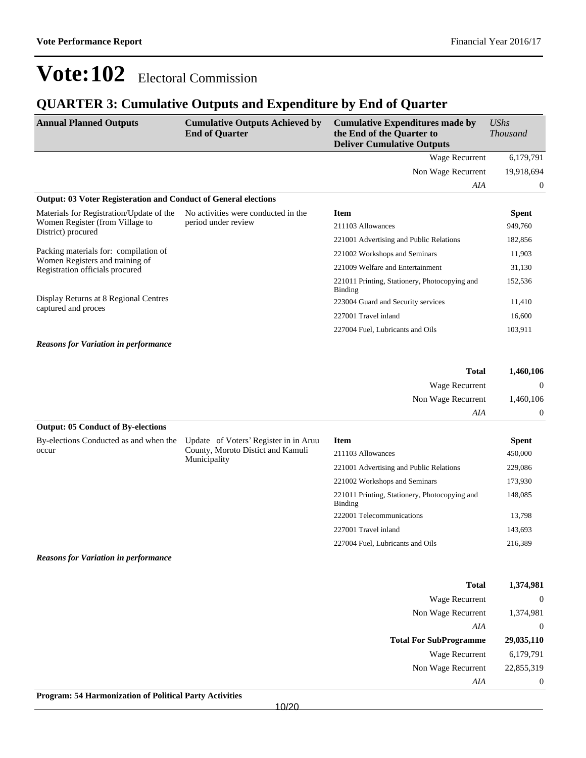### **QUARTER 3: Cumulative Outputs and Expenditure by End of Quarter**

| <b>Annual Planned Outputs</b>                                            | <b>Cumulative Outputs Achieved by</b><br><b>End of Quarter</b> | <b>Cumulative Expenditures made by</b><br>the End of the Quarter to<br><b>Deliver Cumulative Outputs</b> | <b>UShs</b><br><b>Thousand</b> |
|--------------------------------------------------------------------------|----------------------------------------------------------------|----------------------------------------------------------------------------------------------------------|--------------------------------|
|                                                                          |                                                                | <b>Wage Recurrent</b>                                                                                    | 6,179,791                      |
|                                                                          |                                                                | Non Wage Recurrent                                                                                       | 19,918,694                     |
|                                                                          |                                                                | AIA                                                                                                      | $\theta$                       |
| <b>Output: 03 Voter Registeration and Conduct of General elections</b>   |                                                                |                                                                                                          |                                |
| Materials for Registration/Update of the                                 | No activities were conducted in the                            | <b>Item</b>                                                                                              | <b>Spent</b>                   |
| Women Register (from Village to<br>District) procured                    | period under review                                            | 211103 Allowances                                                                                        | 949,760                        |
|                                                                          |                                                                | 221001 Advertising and Public Relations                                                                  | 182,856                        |
| Packing materials for: compilation of<br>Women Registers and training of |                                                                | 221002 Workshops and Seminars                                                                            | 11,903                         |
| Registration officials procured                                          |                                                                | 221009 Welfare and Entertainment                                                                         | 31,130                         |
|                                                                          |                                                                | 221011 Printing, Stationery, Photocopying and<br><b>Binding</b>                                          | 152,536                        |
| Display Returns at 8 Regional Centres<br>captured and proces             |                                                                | 223004 Guard and Security services                                                                       | 11,410                         |
|                                                                          |                                                                | 227001 Travel inland                                                                                     | 16,600                         |
|                                                                          |                                                                | 227004 Fuel, Lubricants and Oils                                                                         | 103,911                        |
| <b>Reasons for Variation in performance</b>                              |                                                                |                                                                                                          |                                |
|                                                                          |                                                                | <b>Total</b>                                                                                             | 1,460,106                      |
|                                                                          |                                                                | Wage Recurrent                                                                                           | $\Omega$                       |
|                                                                          |                                                                | Non Wage Recurrent                                                                                       | 1,460,106                      |
|                                                                          |                                                                | AIA                                                                                                      | $\mathbf{0}$                   |
| <b>Output: 05 Conduct of By-elections</b>                                |                                                                |                                                                                                          |                                |
| By-elections Conducted as and when the                                   | Update of Voters' Register in in Aruu                          | <b>Item</b>                                                                                              | <b>Spent</b>                   |
| occur                                                                    | County, Moroto Distict and Kamuli<br>Municipality              | 211103 Allowances                                                                                        | 450,000                        |
|                                                                          |                                                                |                                                                                                          |                                |

*Reasons for Variation in performance*

| Total                         | 1,374,981  |
|-------------------------------|------------|
| Wage Recurrent                | $\theta$   |
| Non Wage Recurrent            | 1,374,981  |
| AIA                           | $\theta$   |
|                               |            |
| <b>Total For SubProgramme</b> | 29,035,110 |
| Wage Recurrent                | 6,179,791  |
| Non Wage Recurrent            | 22,855,319 |

148,085

221001 Advertising and Public Relations 229,086 221002 Workshops and Seminars 173,930

222001 Telecommunications 13,798 227001 Travel inland 143,693 227004 Fuel, Lubricants and Oils 216,389

221011 Printing, Stationery, Photocopying and

Binding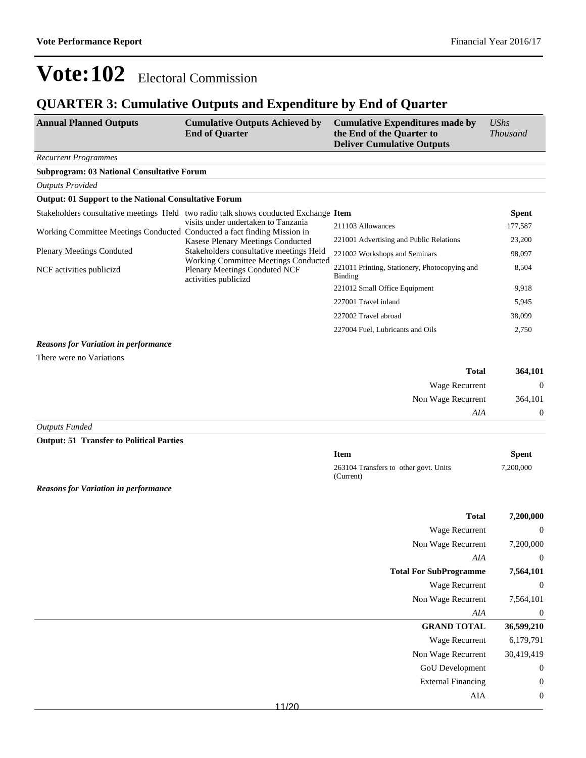### **QUARTER 3: Cumulative Outputs and Expenditure by End of Quarter**

| <b>Annual Planned Outputs</b> | <b>Cumulative Outputs Achieved by</b> | Cumulative Expenditures made by   | <b>UShs</b>     |
|-------------------------------|---------------------------------------|-----------------------------------|-----------------|
|                               | <b>End of Quarter</b>                 | the End of the Quarter to         | <b>Thousand</b> |
|                               |                                       | <b>Deliver Cumulative Outputs</b> |                 |

#### *Recurrent Programmes*

*Outputs Provided*

#### **Subprogram: 03 National Consultative Forum**

| <b>Output: 01 Support to the National Consultative Forum</b>             |                                                                                                             |                                                          |              |
|--------------------------------------------------------------------------|-------------------------------------------------------------------------------------------------------------|----------------------------------------------------------|--------------|
|                                                                          | Stakeholders consultative meetings Held two radio talk shows conducted Exchange Item                        |                                                          | <b>Spent</b> |
|                                                                          | visits under undertaken to Tanzania                                                                         | 211103 Allowances                                        | 177,587      |
| Working Committee Meetings Conducted Conducted a fact finding Mission in | Kasese Plenary Meetings Conducted                                                                           | 221001 Advertising and Public Relations                  | 23,200       |
| <b>Plenary Meetings Conduted</b>                                         | Stakeholders consultative meetings Held                                                                     | 221002 Workshops and Seminars                            | 98,097       |
| NCF activities publicizd                                                 | <b>Working Committee Meetings Conducted</b><br><b>Plenary Meetings Conduted NCF</b><br>activities publicizd | 221011 Printing, Stationery, Photocopying and<br>Binding | 8,504        |
|                                                                          |                                                                                                             | 221012 Small Office Equipment                            | 9,918        |
|                                                                          |                                                                                                             | 227001 Travel inland                                     | 5,945        |
|                                                                          |                                                                                                             | 227002 Travel abroad                                     | 38,099       |
|                                                                          |                                                                                                             | 227004 Fuel, Lubricants and Oils                         | 2,750        |
| <b>Reasons for Variation in performance</b>                              |                                                                                                             |                                                          |              |
| There were no Variations                                                 |                                                                                                             |                                                          |              |

| 364,101        | <b>Total</b>          |       |               |
|----------------|-----------------------|-------|---------------|
| $\overline{0}$ | <b>Wage Recurrent</b> |       |               |
| 364,101        | Non Wage Recurrent    |       |               |
| $\theta$       | AIA                   |       |               |
|                |                       | _ _ _ | $\sim$ $\sim$ |

*Outputs Funded*

**Output: 51 Transfer to Political Parties**

| Item                                               | <b>Spent</b> |
|----------------------------------------------------|--------------|
| 263104 Transfers to other govt. Units<br>(Current) | 7.200,000    |

*Reasons for Variation in performance*

| 7,200,000        | <b>Total</b>                  |  |
|------------------|-------------------------------|--|
| $\boldsymbol{0}$ | Wage Recurrent                |  |
| 7,200,000        | Non Wage Recurrent            |  |
| $\overline{0}$   | AIA                           |  |
| 7,564,101        | <b>Total For SubProgramme</b> |  |
| $\boldsymbol{0}$ | <b>Wage Recurrent</b>         |  |
| 7,564,101        | Non Wage Recurrent            |  |
| $\boldsymbol{0}$ | AIA                           |  |
| 36,599,210       | <b>GRAND TOTAL</b>            |  |
| 6,179,791        | Wage Recurrent                |  |
| 30,419,419       | Non Wage Recurrent            |  |
| $\boldsymbol{0}$ | GoU Development               |  |
| $\boldsymbol{0}$ | <b>External Financing</b>     |  |
| $\boldsymbol{0}$ | AIA                           |  |
|                  | 11/20                         |  |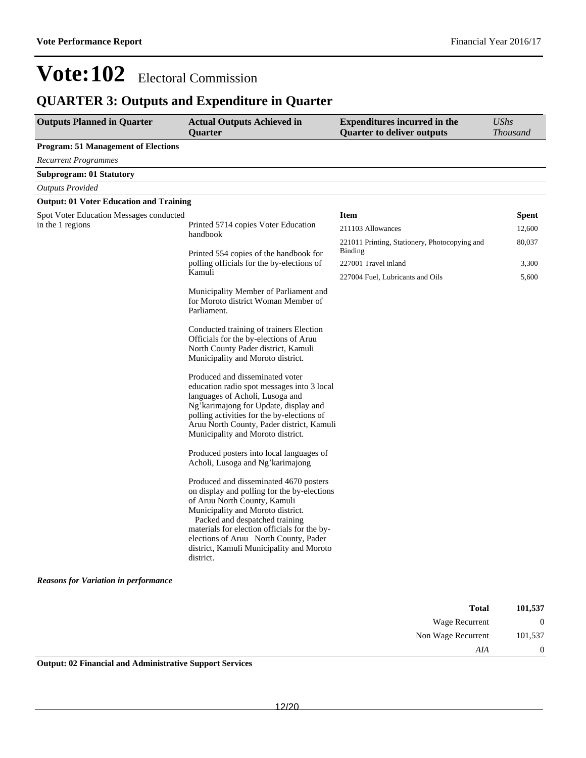### **QUARTER 3: Outputs and Expenditure in Quarter**

| <b>Outputs Planned in Quarter</b>              | <b>Actual Outputs Achieved in</b><br><b>Ouarter</b>                                                                                                                                                                                                                                                                                            | <b>Expenditures incurred in the</b><br><b>Quarter to deliver outputs</b> | <b>UShs</b><br>Thousand |
|------------------------------------------------|------------------------------------------------------------------------------------------------------------------------------------------------------------------------------------------------------------------------------------------------------------------------------------------------------------------------------------------------|--------------------------------------------------------------------------|-------------------------|
| <b>Program: 51 Management of Elections</b>     |                                                                                                                                                                                                                                                                                                                                                |                                                                          |                         |
| <b>Recurrent Programmes</b>                    |                                                                                                                                                                                                                                                                                                                                                |                                                                          |                         |
| <b>Subprogram: 01 Statutory</b>                |                                                                                                                                                                                                                                                                                                                                                |                                                                          |                         |
| <b>Outputs Provided</b>                        |                                                                                                                                                                                                                                                                                                                                                |                                                                          |                         |
| <b>Output: 01 Voter Education and Training</b> |                                                                                                                                                                                                                                                                                                                                                |                                                                          |                         |
| <b>Spot Voter Education Messages conducted</b> |                                                                                                                                                                                                                                                                                                                                                | <b>Item</b>                                                              | <b>Spent</b>            |
| in the 1 regions                               | Printed 5714 copies Voter Education<br>handbook                                                                                                                                                                                                                                                                                                | 211103 Allowances                                                        | 12,600                  |
|                                                |                                                                                                                                                                                                                                                                                                                                                | 221011 Printing, Stationery, Photocopying and                            | 80,037                  |
|                                                | Printed 554 copies of the handbook for                                                                                                                                                                                                                                                                                                         | Binding                                                                  |                         |
|                                                | polling officials for the by-elections of<br>Kamuli                                                                                                                                                                                                                                                                                            | 227001 Travel inland                                                     | 3,300                   |
|                                                |                                                                                                                                                                                                                                                                                                                                                | 227004 Fuel, Lubricants and Oils                                         | 5,600                   |
|                                                | Municipality Member of Parliament and<br>for Moroto district Woman Member of<br>Parliament.                                                                                                                                                                                                                                                    |                                                                          |                         |
|                                                | Conducted training of trainers Election<br>Officials for the by-elections of Aruu<br>North County Pader district, Kamuli<br>Municipality and Moroto district.                                                                                                                                                                                  |                                                                          |                         |
|                                                | Produced and disseminated voter<br>education radio spot messages into 3 local<br>languages of Acholi, Lusoga and<br>Ng' karimajong for Update, display and<br>polling activities for the by-elections of<br>Aruu North County, Pader district, Kamuli<br>Municipality and Moroto district.                                                     |                                                                          |                         |
|                                                | Produced posters into local languages of<br>Acholi, Lusoga and Ng'karimajong                                                                                                                                                                                                                                                                   |                                                                          |                         |
|                                                | Produced and disseminated 4670 posters<br>on display and polling for the by-elections<br>of Aruu North County, Kamuli<br>Municipality and Moroto district.<br>Packed and despatched training<br>materials for election officials for the by-<br>elections of Aruu North County, Pader<br>district, Kamuli Municipality and Moroto<br>district. |                                                                          |                         |
| <b>Reasons for Variation in performance</b>    |                                                                                                                                                                                                                                                                                                                                                |                                                                          |                         |

| 101,537      | <b>Total</b>       |
|--------------|--------------------|
| $\mathbf{0}$ | Wage Recurrent     |
| 101.537      | Non Wage Recurrent |
|              | AIA                |

**Output: 02 Financial and Administrative Support Services**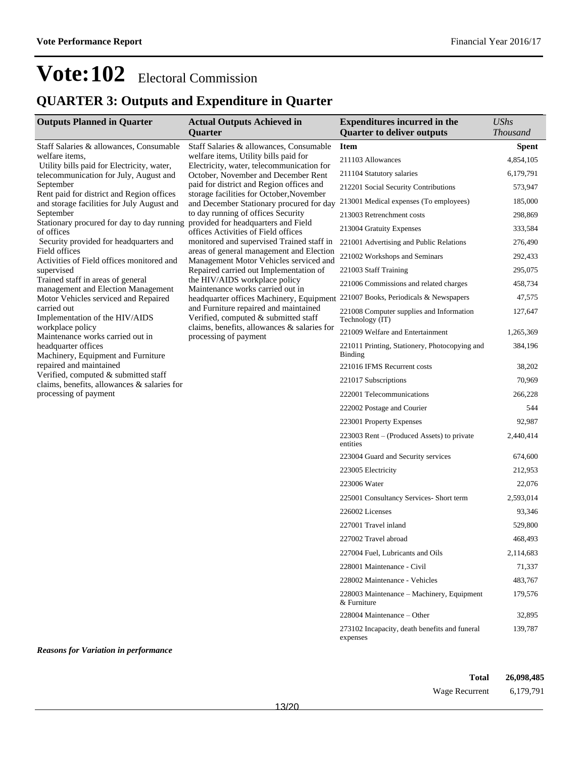### **QUARTER 3: Outputs and Expenditure in Quarter**

| <b>Outputs Planned in Quarter</b>                                                   | <b>Actual Outputs Achieved in</b>                                                                                                                                    | <b>Expenditures incurred in the</b>                         | <b>UShs</b>     |
|-------------------------------------------------------------------------------------|----------------------------------------------------------------------------------------------------------------------------------------------------------------------|-------------------------------------------------------------|-----------------|
|                                                                                     | Quarter                                                                                                                                                              | <b>Quarter to deliver outputs</b>                           | <b>Thousand</b> |
| Staff Salaries & allowances, Consumable<br>welfare items.                           | Staff Salaries & allowances, Consumable<br>welfare items, Utility bills paid for<br>Electricity, water, telecommunication for<br>October, November and December Rent | <b>Item</b>                                                 | <b>Spent</b>    |
| Utility bills paid for Electricity, water,                                          |                                                                                                                                                                      | 211103 Allowances                                           | 4,854,105       |
| telecommunication for July, August and                                              |                                                                                                                                                                      | 211104 Statutory salaries                                   | 6,179,791       |
| September<br>Rent paid for district and Region offices                              | paid for district and Region offices and<br>storage facilities for October, November                                                                                 | 212201 Social Security Contributions                        | 573,947         |
| and storage facilities for July August and<br>September                             | and December Stationary procured for day<br>to day running of offices Security<br>provided for headquarters and Field<br>offices Activities of Field offices         | 213001 Medical expenses (To employees)                      | 185,000         |
|                                                                                     |                                                                                                                                                                      | 213003 Retrenchment costs                                   | 298,869         |
| Stationary procured for day to day running<br>of offices                            |                                                                                                                                                                      | 213004 Gratuity Expenses                                    | 333,584         |
| Security provided for headquarters and                                              | monitored and supervised Trained staff in                                                                                                                            | 221001 Advertising and Public Relations                     | 276,490         |
| Field offices<br>Activities of Field offices monitored and                          | areas of general management and Election<br>Management Motor Vehicles serviced and                                                                                   | 221002 Workshops and Seminars                               | 292,433         |
| supervised                                                                          | Repaired carried out Implementation of                                                                                                                               | 221003 Staff Training                                       | 295,075         |
| Trained staff in areas of general<br>management and Election Management             | the HIV/AIDS workplace policy<br>Maintenance works carried out in                                                                                                    | 221006 Commissions and related charges                      | 458,734         |
| Motor Vehicles serviced and Repaired                                                | headquarter offices Machinery, Equipment                                                                                                                             | 221007 Books, Periodicals & Newspapers                      | 47,575          |
| carried out<br>Implementation of the HIV/AIDS                                       | and Furniture repaired and maintained<br>Verified, computed & submitted staff                                                                                        | 221008 Computer supplies and Information<br>Technology (IT) | 127,647         |
| workplace policy<br>Maintenance works carried out in                                | claims, benefits, allowances & salaries for<br>processing of payment                                                                                                 | 221009 Welfare and Entertainment                            | 1,265,369       |
| headquarter offices<br>Machinery, Equipment and Furniture                           |                                                                                                                                                                      | 221011 Printing, Stationery, Photocopying and<br>Binding    | 384,196         |
| repaired and maintained                                                             |                                                                                                                                                                      | 221016 IFMS Recurrent costs                                 | 38,202          |
| Verified, computed & submitted staff<br>claims, benefits, allowances & salaries for |                                                                                                                                                                      | 221017 Subscriptions                                        | 70,969          |
| processing of payment                                                               |                                                                                                                                                                      | 222001 Telecommunications                                   | 266,228         |
|                                                                                     |                                                                                                                                                                      | 222002 Postage and Courier                                  | 544             |
|                                                                                     |                                                                                                                                                                      | 223001 Property Expenses                                    | 92,987          |
|                                                                                     |                                                                                                                                                                      | 223003 Rent – (Produced Assets) to private<br>entities      | 2,440,414       |
|                                                                                     |                                                                                                                                                                      | 223004 Guard and Security services                          | 674,600         |
|                                                                                     |                                                                                                                                                                      | 223005 Electricity                                          | 212,953         |
|                                                                                     |                                                                                                                                                                      | 223006 Water                                                | 22,076          |
|                                                                                     |                                                                                                                                                                      | 225001 Consultancy Services- Short term                     | 2,593,014       |
|                                                                                     |                                                                                                                                                                      | 226002 Licenses                                             | 93,346          |
|                                                                                     |                                                                                                                                                                      | 227001 Travel inland                                        | 529,800         |
|                                                                                     |                                                                                                                                                                      | 227002 Travel abroad                                        | 468,493         |
|                                                                                     |                                                                                                                                                                      | 227004 Fuel, Lubricants and Oils                            | 2,114,683       |
|                                                                                     |                                                                                                                                                                      | 228001 Maintenance - Civil                                  | 71,337          |
|                                                                                     |                                                                                                                                                                      | 228002 Maintenance - Vehicles                               | 483,767         |
|                                                                                     |                                                                                                                                                                      | 228003 Maintenance - Machinery, Equipment<br>& Furniture    | 179,576         |
|                                                                                     |                                                                                                                                                                      | 228004 Maintenance - Other                                  | 32,895          |
|                                                                                     |                                                                                                                                                                      | 273102 Incapacity, death benefits and funeral<br>expenses   | 139,787         |

*Reasons for Variation in performance*

**Total 26,098,485** Wage Recurrent 6,179,791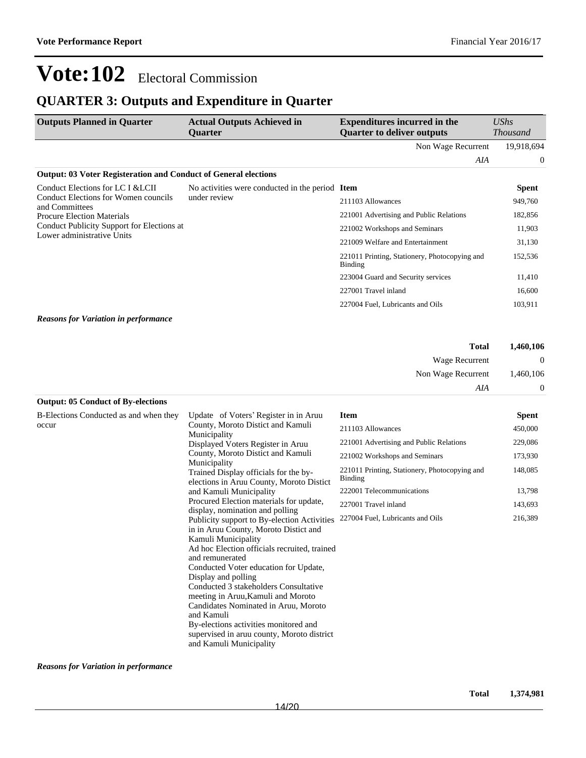### **QUARTER 3: Outputs and Expenditure in Quarter**

| <b>Outputs Planned in Quarter</b>                                        | <b>Actual Outputs Achieved in</b><br><b>Ouarter</b> | <b>Expenditures incurred in the</b><br><b>Quarter to deliver outputs</b> | UShs<br><b>Thousand</b> |
|--------------------------------------------------------------------------|-----------------------------------------------------|--------------------------------------------------------------------------|-------------------------|
|                                                                          |                                                     | Non Wage Recurrent                                                       | 19,918,694              |
|                                                                          |                                                     | AIA                                                                      | $\theta$                |
| <b>Output: 03 Voter Registeration and Conduct of General elections</b>   |                                                     |                                                                          |                         |
| Conduct Elections for LC I & LCII                                        | No activities were conducted in the period Item     |                                                                          | <b>Spent</b>            |
| Conduct Elections for Women councils<br>and Committees                   | under review                                        | 211103 Allowances                                                        | 949,760                 |
| <b>Procure Election Materials</b>                                        |                                                     | 221001 Advertising and Public Relations                                  | 182,856                 |
| Conduct Publicity Support for Elections at<br>Lower administrative Units |                                                     | 221002 Workshops and Seminars                                            | 11,903                  |
|                                                                          |                                                     | 221009 Welfare and Entertainment                                         | 31,130                  |
|                                                                          |                                                     | 221011 Printing, Stationery, Photocopying and<br>Binding                 | 152,536                 |
|                                                                          |                                                     | 223004 Guard and Security services                                       | 11,410                  |
|                                                                          |                                                     | 227001 Travel inland                                                     | 16,600                  |
|                                                                          |                                                     | 227004 Fuel, Lubricants and Oils                                         | 103,911                 |
| <b>Reasons for Variation in performance</b>                              |                                                     |                                                                          |                         |
|                                                                          |                                                     | <b>Total</b>                                                             | 1,460,106               |
|                                                                          |                                                     | Wage Recurrent                                                           | 0                       |
|                                                                          |                                                     | Non Wage Recurrent                                                       | 1,460,106               |

#### **Output: 05 Conduct of By-elections**

| B-Elections Conducted as and when they | Update of Voters' Register in in Aruu                                                                                                                                                                                                                                                                                                                                                                                                                                                                 | <b>Item</b>                                              | Spent   |
|----------------------------------------|-------------------------------------------------------------------------------------------------------------------------------------------------------------------------------------------------------------------------------------------------------------------------------------------------------------------------------------------------------------------------------------------------------------------------------------------------------------------------------------------------------|----------------------------------------------------------|---------|
| occur                                  | County, Moroto Distict and Kamuli<br>Municipality<br>Displayed Voters Register in Aruu<br>County, Moroto Distict and Kamuli<br>Municipality<br>Trained Display officials for the by-<br>elections in Aruu County, Moroto Distict                                                                                                                                                                                                                                                                      | 211103 Allowances                                        | 450,000 |
|                                        |                                                                                                                                                                                                                                                                                                                                                                                                                                                                                                       | 221001 Advertising and Public Relations                  | 229,086 |
|                                        |                                                                                                                                                                                                                                                                                                                                                                                                                                                                                                       | 221002 Workshops and Seminars                            | 173,930 |
|                                        |                                                                                                                                                                                                                                                                                                                                                                                                                                                                                                       | 221011 Printing, Stationery, Photocopying and<br>Binding | 148,085 |
|                                        | and Kamuli Municipality                                                                                                                                                                                                                                                                                                                                                                                                                                                                               | 222001 Telecommunications                                | 13,798  |
|                                        | Procured Election materials for update,<br>display, nomination and polling                                                                                                                                                                                                                                                                                                                                                                                                                            | 227001 Travel inland                                     | 143,693 |
|                                        | Publicity support to By-election Activities<br>in in Aruu County, Moroto Distict and<br>Kamuli Municipality<br>Ad hoc Election officials recruited, trained<br>and remunerated<br>Conducted Voter education for Update,<br>Display and polling<br>Conducted 3 stakeholders Consultative<br>meeting in Aruu, Kamuli and Moroto<br>Candidates Nominated in Aruu, Moroto<br>and Kamuli<br>By-elections activities monitored and<br>supervised in aruu county, Moroto district<br>and Kamuli Municipality | 227004 Fuel, Lubricants and Oils                         | 216,389 |

*Reasons for Variation in performance*

*AIA* 0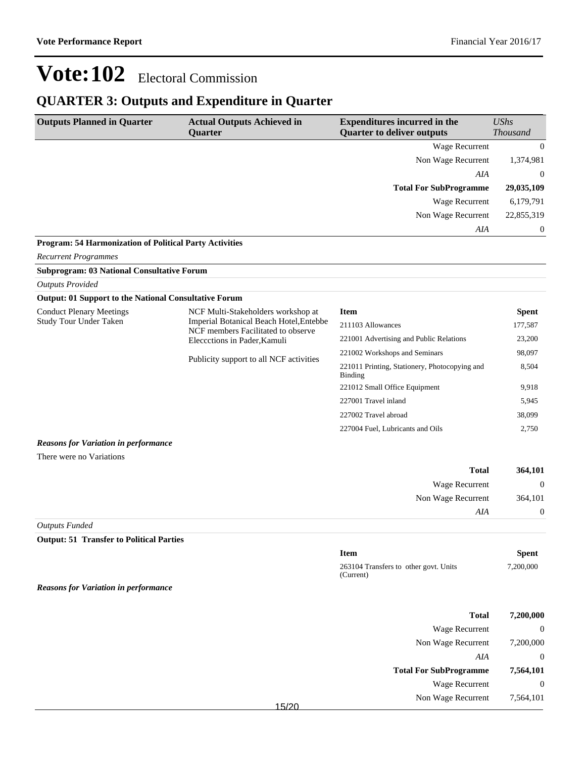### **QUARTER 3: Outputs and Expenditure in Quarter**

| <b>Outputs Planned in Quarter</b>                                | <b>Actual Outputs Achieved in</b><br>Quarter                                  | <b>Expenditures incurred in the</b><br><b>Quarter to deliver outputs</b> | <b>UShs</b><br><b>Thousand</b> |
|------------------------------------------------------------------|-------------------------------------------------------------------------------|--------------------------------------------------------------------------|--------------------------------|
|                                                                  |                                                                               | <b>Wage Recurrent</b>                                                    | $\mathbf{0}$                   |
|                                                                  |                                                                               | Non Wage Recurrent                                                       | 1,374,981                      |
|                                                                  |                                                                               | AIA                                                                      | $\Omega$                       |
|                                                                  |                                                                               | <b>Total For SubProgramme</b>                                            | 29,035,109                     |
|                                                                  |                                                                               | <b>Wage Recurrent</b>                                                    | 6,179,791                      |
|                                                                  |                                                                               | Non Wage Recurrent                                                       | 22,855,319                     |
|                                                                  |                                                                               | AIA                                                                      | $\boldsymbol{0}$               |
| Program: 54 Harmonization of Political Party Activities          |                                                                               |                                                                          |                                |
| <b>Recurrent Programmes</b>                                      |                                                                               |                                                                          |                                |
| <b>Subprogram: 03 National Consultative Forum</b>                |                                                                               |                                                                          |                                |
| <b>Outputs Provided</b>                                          |                                                                               |                                                                          |                                |
| <b>Output: 01 Support to the National Consultative Forum</b>     |                                                                               |                                                                          |                                |
| <b>Conduct Plenary Meetings</b><br><b>Study Tour Under Taken</b> | NCF Multi-Stakeholders workshop at<br>Imperial Botanical Beach Hotel, Entebbe | <b>Item</b>                                                              | <b>Spent</b>                   |
|                                                                  | NCF members Facilitated to observe                                            | 211103 Allowances                                                        | 177,587                        |
|                                                                  | Eleccctions in Pader, Kamuli                                                  | 221001 Advertising and Public Relations                                  | 23,200                         |
|                                                                  | Publicity support to all NCF activities                                       | 221002 Workshops and Seminars                                            | 98,097                         |
|                                                                  |                                                                               | 221011 Printing, Stationery, Photocopying and<br>Binding                 | 8,504                          |
|                                                                  |                                                                               | 221012 Small Office Equipment                                            | 9,918                          |
|                                                                  |                                                                               | 227001 Travel inland                                                     | 5,945                          |
|                                                                  |                                                                               | 227002 Travel abroad                                                     | 38.099                         |
|                                                                  |                                                                               | 227004 Fuel, Lubricants and Oils                                         | 2,750                          |
| <b>Reasons for Variation in performance</b>                      |                                                                               |                                                                          |                                |
| There were no Variations                                         |                                                                               |                                                                          |                                |
|                                                                  |                                                                               | <b>Total</b>                                                             | 364,101                        |
|                                                                  |                                                                               | Wage Recurrent                                                           | $\boldsymbol{0}$               |
|                                                                  |                                                                               | Non Wage Recurrent                                                       | 364,101                        |
|                                                                  |                                                                               | AIA                                                                      | $\boldsymbol{0}$               |
| <b>Outputs Funded</b>                                            |                                                                               |                                                                          |                                |
| <b>Output: 51 Transfer to Political Parties</b>                  |                                                                               |                                                                          |                                |
|                                                                  |                                                                               | <b>Item</b>                                                              | Spent                          |
|                                                                  |                                                                               | 263104 Transfers to other govt. Units<br>(Current)                       | 7,200,000                      |
| <b>Reasons for Variation in performance</b>                      |                                                                               |                                                                          |                                |
|                                                                  |                                                                               |                                                                          |                                |

| <b>Total</b>                  |        |
|-------------------------------|--------|
| Wage Recurrent                |        |
| Non Wage Recurrent            |        |
| AIA                           |        |
| <b>Total For SubProgramme</b> |        |
| Wage Recurrent                |        |
| Non Wage Recurrent            | 4.5100 |
|                               |        |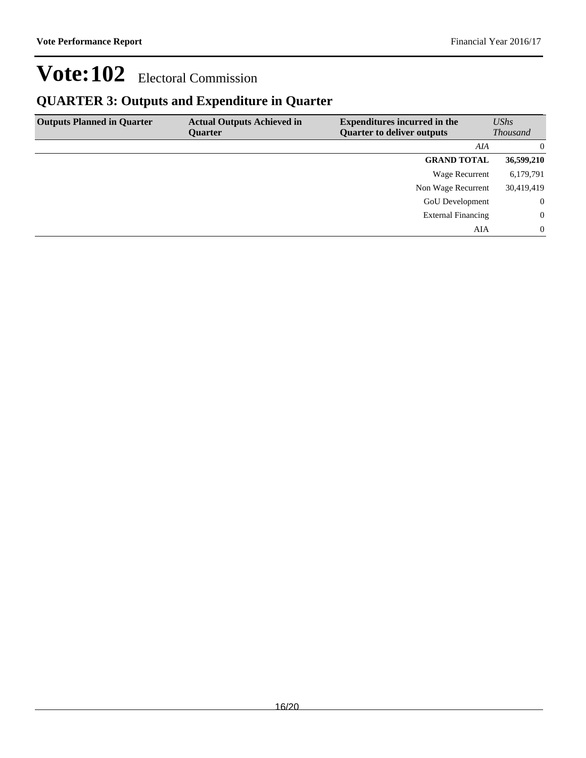### **QUARTER 3: Outputs and Expenditure in Quarter**

| <b>Outputs Planned in Quarter</b> | <b>Actual Outputs Achieved in</b><br><b>Ouarter</b> | <b>Expenditures incurred in the</b><br><b>Quarter to deliver outputs</b> | UShs<br><i>Thousand</i> |
|-----------------------------------|-----------------------------------------------------|--------------------------------------------------------------------------|-------------------------|
|                                   |                                                     | AIA                                                                      | $\Omega$                |
|                                   |                                                     | <b>GRAND TOTAL</b>                                                       | 36,599,210              |
|                                   |                                                     | Wage Recurrent                                                           | 6,179,791               |
|                                   |                                                     | Non Wage Recurrent                                                       | 30,419,419              |
|                                   |                                                     | <b>GoU</b> Development                                                   | $\overline{0}$          |
|                                   |                                                     | <b>External Financing</b>                                                | $\Omega$                |
|                                   |                                                     | AIA                                                                      | $\Omega$                |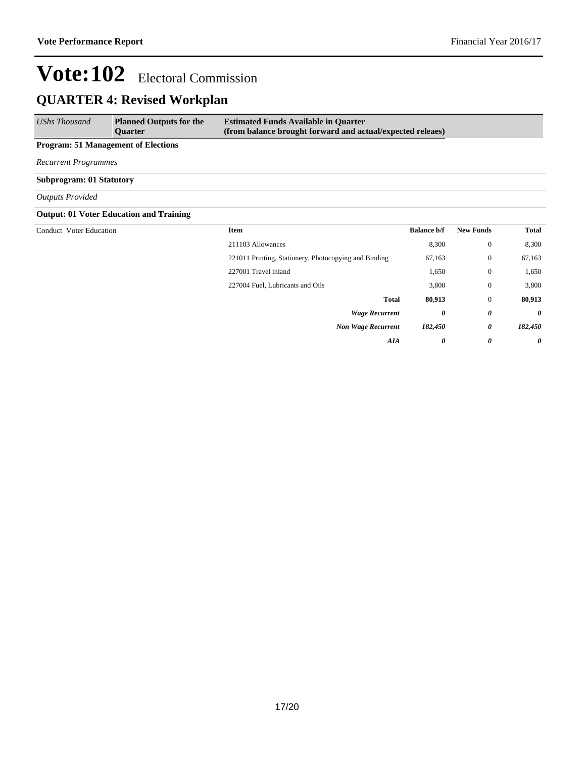## **QUARTER 4: Revised Workplan**

| UShs Thousand                              | <b>Planned Outputs for the</b><br><b>Ouarter</b> | <b>Estimated Funds Available in Quarter</b><br>(from balance brought forward and actual/expected releaes) |
|--------------------------------------------|--------------------------------------------------|-----------------------------------------------------------------------------------------------------------|
| <b>Program: 51 Management of Elections</b> |                                                  |                                                                                                           |

*Recurrent Programmes*

**Subprogram: 01 Statutory**

*Outputs Provided*

#### **Output: 01 Voter Education and Training**

| Conduct Voter Education | <b>Item</b>                                           | <b>Balance b/f</b> | <b>New Funds</b> | <b>Total</b> |
|-------------------------|-------------------------------------------------------|--------------------|------------------|--------------|
|                         | 211103 Allowances                                     | 8,300              | $\mathbf{0}$     | 8,300        |
|                         | 221011 Printing, Stationery, Photocopying and Binding | 67,163             | $\mathbf{0}$     | 67,163       |
|                         | 227001 Travel inland                                  | 1,650              | $\mathbf{0}$     | 1,650        |
|                         | 227004 Fuel, Lubricants and Oils                      | 3,800              | $\mathbf{0}$     | 3,800        |
|                         | <b>Total</b>                                          | 80,913             | $\mathbf{0}$     | 80,913       |
|                         | <b>Wage Recurrent</b>                                 | 0                  | 0                | $\theta$     |
|                         | <b>Non Wage Recurrent</b>                             | 182,450            | 0                | 182,450      |
|                         | <b>AIA</b>                                            | 0                  | 0                | $\theta$     |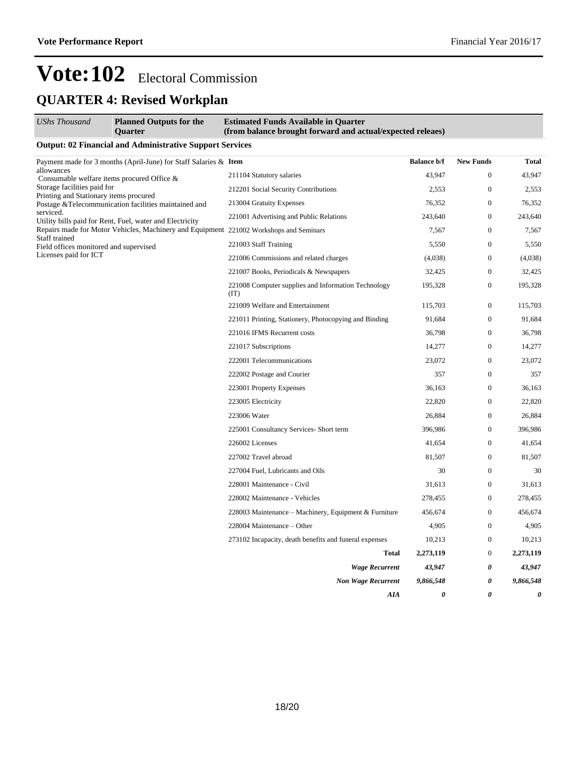## **QUARTER 4: Revised Workplan**

| UShs Thousand                                                                                  | <b>Planned Outputs for the</b><br><b>Ouarter</b>                                       | <b>Estimated Funds Available in Quarter</b><br>(from balance brought forward and actual/expected releaes) |                    |                       |                       |
|------------------------------------------------------------------------------------------------|----------------------------------------------------------------------------------------|-----------------------------------------------------------------------------------------------------------|--------------------|-----------------------|-----------------------|
|                                                                                                | <b>Output: 02 Financial and Administrative Support Services</b>                        |                                                                                                           |                    |                       |                       |
| Payment made for 3 months (April-June) for Staff Salaries & Item                               |                                                                                        |                                                                                                           | <b>Balance b/f</b> | <b>New Funds</b>      | Total                 |
| allowances                                                                                     | Consumable welfare items procured Office &                                             | 211104 Statutory salaries                                                                                 | 43.947             | $\mathbf{0}$          | 43,947                |
| Storage facilities paid for                                                                    |                                                                                        | 212201 Social Security Contributions                                                                      | 2,553              | $\boldsymbol{0}$      | 2,553                 |
| Printing and Stationary items procured<br>Postage &Telecommunication facilities maintained and | 213004 Gratuity Expenses                                                               | 76,352                                                                                                    | $\boldsymbol{0}$   | 76,352                |                       |
| serviced.                                                                                      | Utility bills paid for Rent, Fuel, water and Electricity                               | 221001 Advertising and Public Relations                                                                   | 243,640            | $\boldsymbol{0}$      | 243,640               |
|                                                                                                | Repairs made for Motor Vehicles, Machinery and Equipment 221002 Workshops and Seminars |                                                                                                           | 7,567              | $\boldsymbol{0}$      | 7,567                 |
| Staff trained<br>Field offices monitored and supervised                                        |                                                                                        | 221003 Staff Training                                                                                     | 5,550              | $\mathbf{0}$          | 5,550                 |
| Licenses paid for ICT                                                                          |                                                                                        | 221006 Commissions and related charges                                                                    | (4,038)            | $\boldsymbol{0}$      | (4,038)               |
|                                                                                                |                                                                                        | 221007 Books, Periodicals & Newspapers                                                                    | 32,425             | $\boldsymbol{0}$      | 32,425                |
|                                                                                                |                                                                                        | 221008 Computer supplies and Information Technology<br>(TT)                                               | 195,328            | $\boldsymbol{0}$      | 195,328               |
|                                                                                                |                                                                                        | 221009 Welfare and Entertainment                                                                          | 115,703            | $\boldsymbol{0}$      | 115,703               |
|                                                                                                | 221011 Printing, Stationery, Photocopying and Binding                                  | 91,684                                                                                                    | $\overline{0}$     | 91,684                |                       |
|                                                                                                | 221016 IFMS Recurrent costs                                                            | 36,798                                                                                                    | $\overline{0}$     | 36,798                |                       |
|                                                                                                |                                                                                        | 221017 Subscriptions                                                                                      | 14,277             | $\boldsymbol{0}$      | 14,277                |
|                                                                                                |                                                                                        | 222001 Telecommunications                                                                                 | 23,072             | $\boldsymbol{0}$      | 23,072                |
|                                                                                                |                                                                                        | 222002 Postage and Courier                                                                                | 357                | $\boldsymbol{0}$      | 357                   |
|                                                                                                |                                                                                        | 223001 Property Expenses                                                                                  | 36,163             | $\boldsymbol{0}$      | 36,163                |
|                                                                                                |                                                                                        | 223005 Electricity                                                                                        | 22,820             | $\boldsymbol{0}$      | 22,820                |
|                                                                                                |                                                                                        | 223006 Water                                                                                              | 26,884             | $\boldsymbol{0}$      | 26,884                |
|                                                                                                |                                                                                        | 225001 Consultancy Services- Short term                                                                   | 396,986            | $\boldsymbol{0}$      | 396,986               |
|                                                                                                |                                                                                        | 226002 Licenses                                                                                           | 41,654             | $\boldsymbol{0}$      | 41,654                |
|                                                                                                |                                                                                        | 227002 Travel abroad                                                                                      | 81,507             | $\boldsymbol{0}$      | 81,507                |
|                                                                                                |                                                                                        | 227004 Fuel, Lubricants and Oils                                                                          | 30                 | $\boldsymbol{0}$      | 30                    |
|                                                                                                |                                                                                        | 228001 Maintenance - Civil                                                                                | 31,613             | $\boldsymbol{0}$      | 31,613                |
|                                                                                                |                                                                                        | 228002 Maintenance - Vehicles                                                                             | 278,455            | $\boldsymbol{0}$      | 278,455               |
|                                                                                                |                                                                                        | 228003 Maintenance - Machinery, Equipment & Furniture                                                     | 456,674            | $\boldsymbol{0}$      | 456,674               |
|                                                                                                |                                                                                        | 228004 Maintenance - Other                                                                                | 4,905              | $\boldsymbol{0}$      | 4,905                 |
|                                                                                                |                                                                                        | 273102 Incapacity, death benefits and funeral expenses                                                    | 10,213             | $\boldsymbol{0}$      | 10,213                |
|                                                                                                |                                                                                        | Total                                                                                                     | 2,273,119          | $\boldsymbol{0}$      | 2,273,119             |
|                                                                                                |                                                                                        | <b>Wage Recurrent</b>                                                                                     | 43,947             | 0                     | 43,947                |
|                                                                                                |                                                                                        | <b>Non Wage Recurrent</b>                                                                                 | 9,866,548          | 0                     | 9,866,548             |
|                                                                                                |                                                                                        | AIA                                                                                                       | 0                  | $\boldsymbol{\theta}$ | $\boldsymbol{\theta}$ |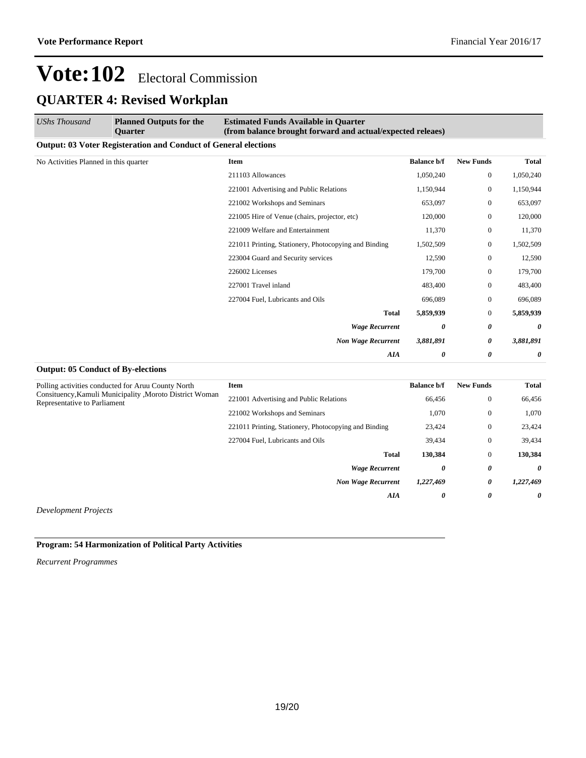## **Vote:102** Electoral Commission **QUARTER 4: Revised Workplan**

| <b>UShs Thousand</b>                  | <b>Planned Outputs for the</b><br><b>Ouarter</b>                       | <b>Estimated Funds Available in Quarter</b><br>(from balance brought forward and actual/expected releaes) |                    |                  |                       |
|---------------------------------------|------------------------------------------------------------------------|-----------------------------------------------------------------------------------------------------------|--------------------|------------------|-----------------------|
|                                       | <b>Output: 03 Voter Registeration and Conduct of General elections</b> |                                                                                                           |                    |                  |                       |
| No Activities Planned in this quarter |                                                                        | <b>Item</b>                                                                                               | <b>Balance b/f</b> | <b>New Funds</b> | <b>Total</b>          |
|                                       |                                                                        | 211103 Allowances                                                                                         | 1,050,240          | $\mathbf{0}$     | 1,050,240             |
|                                       |                                                                        | 221001 Advertising and Public Relations                                                                   | 1,150,944          | $\mathbf{0}$     | 1,150,944             |
|                                       |                                                                        | 221002 Workshops and Seminars                                                                             | 653,097            | $\mathbf{0}$     | 653,097               |
|                                       |                                                                        | 221005 Hire of Venue (chairs, projector, etc)                                                             | 120,000            | $\mathbf{0}$     | 120,000               |
|                                       |                                                                        | 221009 Welfare and Entertainment                                                                          | 11,370             | $\mathbf{0}$     | 11,370                |
|                                       |                                                                        | 221011 Printing, Stationery, Photocopying and Binding                                                     | 1,502,509          | $\overline{0}$   | 1,502,509             |
|                                       |                                                                        | 223004 Guard and Security services                                                                        | 12,590             | $\theta$         | 12,590                |
|                                       |                                                                        | 226002 Licenses                                                                                           | 179,700            | $\theta$         | 179,700               |
|                                       |                                                                        | 227001 Travel inland                                                                                      | 483,400            | $\mathbf{0}$     | 483,400               |
|                                       |                                                                        | 227004 Fuel, Lubricants and Oils                                                                          | 696,089            | $\mathbf{0}$     | 696,089               |
|                                       |                                                                        | <b>Total</b>                                                                                              | 5,859,939          | $\overline{0}$   | 5,859,939             |
|                                       |                                                                        | <b>Wage Recurrent</b>                                                                                     | 0                  | 0                | $\boldsymbol{\theta}$ |
|                                       |                                                                        | <b>Non Wage Recurrent</b>                                                                                 | 3,881,891          | 0                | 3,881,891             |
|                                       |                                                                        | <b>AIA</b>                                                                                                | 0                  | 0                | 0                     |

#### **Output: 05 Conduct of By-elections**

| Polling activities conducted for Aruu County North<br><b>Item</b><br>Consituency, Kamuli Municipality, Moroto District Woman<br>Representative to Parliament |                                                       | <b>Balance b/f</b> | <b>New Funds</b> | <b>Total</b> |
|--------------------------------------------------------------------------------------------------------------------------------------------------------------|-------------------------------------------------------|--------------------|------------------|--------------|
|                                                                                                                                                              | 221001 Advertising and Public Relations               | 66,456             | $\mathbf{0}$     | 66,456       |
|                                                                                                                                                              | 221002 Workshops and Seminars                         | 1,070              | $\theta$         | 1,070        |
|                                                                                                                                                              | 221011 Printing, Stationery, Photocopying and Binding | 23,424             | $\theta$         | 23,424       |
|                                                                                                                                                              | 227004 Fuel, Lubricants and Oils                      | 39,434             | $\theta$         | 39,434       |
|                                                                                                                                                              | <b>Total</b>                                          | 130,384            | $\theta$         | 130,384      |
|                                                                                                                                                              | <b>Wage Recurrent</b>                                 | 0                  | 0                | $\theta$     |
|                                                                                                                                                              | <b>Non Wage Recurrent</b>                             | 1,227,469          | 0                | 1,227,469    |
|                                                                                                                                                              | AIA                                                   | $\theta$           | $\theta$         | 0            |

*Development Projects*

#### **Program: 54 Harmonization of Political Party Activities**

*Recurrent Programmes*